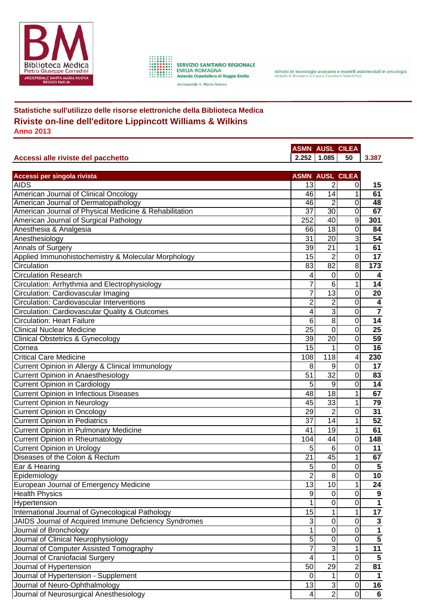

SERVIZIO SANITARIO REGIONALE<br>EMILIA-ROMAGNA<br>Azienda Ospedaliera di Reggio Emilia

Arcispedale S. Maria Nuova

Istituto in tecnologie avanzate e modelli assistenziali in oncologia<br>Istituto di Ricovero e Cura a Carattere Scientifico

## **Statistiche sull'utilizzo delle risorse elettroniche della Biblioteca Medica Riviste on-line dell'editore Lippincott Williams & Wilkins Anno 2013**

|                                                        | <b>ASMN AUSL CILEA</b> |                           |                  |                         |  |  |
|--------------------------------------------------------|------------------------|---------------------------|------------------|-------------------------|--|--|
| Accessi alle riviste del pacchetto                     |                        | $2.252$ 1.085             | 50               | 3.387                   |  |  |
|                                                        |                        |                           |                  |                         |  |  |
| Accessi per singola rivista                            |                        | <b>ASMN AUSL CILEA</b>    |                  |                         |  |  |
| <b>AIDS</b>                                            | 13                     | 2                         | 0                | 15                      |  |  |
| American Journal of Clinical Oncology                  | 46                     | $\overline{14}$           | 1                | 61                      |  |  |
| American Journal of Dermatopathology                   | 46                     | $\overline{2}$            | 0                | 48                      |  |  |
| American Journal of Physical Medicine & Rehabilitation | $\overline{37}$        | $\overline{30}$           | $\overline{0}$   | 67                      |  |  |
| American Journal of Surgical Pathology                 | 252                    | 40                        | $\overline{9}$   | 301                     |  |  |
| Anesthesia & Analgesia                                 | 66                     | 18                        | 0                | 84                      |  |  |
| Anesthesiology                                         | 31                     | 20                        | 3                | 54                      |  |  |
| Annals of Surgery                                      | 39                     | 21                        | 1                | 61                      |  |  |
| Applied Immunohistochemistry & Molecular Morphology    | 15                     | $\overline{2}$            | 0                | 17                      |  |  |
| Circulation                                            | 83                     | 82                        | 8                | 173                     |  |  |
| <b>Circulation Research</b>                            | 4                      | 0                         | $\mathbf 0$      | 4                       |  |  |
| Circulation: Arrhythmia and Electrophysiology          | $\overline{7}$         | 6                         | 1                | 14                      |  |  |
| Circulation: Cardiovascular Imaging                    | $\overline{7}$         | 13                        | $\mathbf 0$      | 20                      |  |  |
| Circulation: Cardiovascular Interventions              | $\overline{2}$         | $\overline{2}$            | $\overline{0}$   | $\overline{\mathbf{4}}$ |  |  |
| Circulation: Cardiovascular Quality & Outcomes         | 4                      | 3                         | $\overline{0}$   | $\overline{\mathbf{7}}$ |  |  |
| <b>Circulation: Heart Failure</b>                      | 6                      | $\overline{8}$            | $\mathbf 0$      | 14                      |  |  |
| <b>Clinical Nuclear Medicine</b>                       | 25                     | $\overline{0}$            | 0                | $\overline{25}$         |  |  |
| <b>Clinical Obstetrics &amp; Gynecology</b>            | 39                     | 20                        | 0                | 59                      |  |  |
| Cornea                                                 | 15                     | 1                         | 0                | $\overline{16}$         |  |  |
| <b>Critical Care Medicine</b>                          | 108                    | 118                       | 4                | 230                     |  |  |
| Current Opinion in Allergy & Clinical Immunology       | 8                      | 9                         | $\mathbf 0$      | 17                      |  |  |
| <b>Current Opinion in Anaesthesiology</b>              | 51                     | 32                        | $\mathbf 0$      | 83                      |  |  |
| <b>Current Opinion in Cardiology</b>                   | 5                      | 9                         | 0                | 14                      |  |  |
| <b>Current Opinion in Infectious Diseases</b>          | 48                     | 18                        | 1                | 67                      |  |  |
| <b>Current Opinion in Neurology</b>                    | 45                     | 33                        | 1                | 79                      |  |  |
| <b>Current Opinion in Oncology</b>                     | 29                     | 2                         | $\mathbf 0$      | 31                      |  |  |
| <b>Current Opinion in Pediatrics</b>                   | 37                     | 14                        | 1                | 52                      |  |  |
| Current Opinion in Pulmonary Medicine                  | 41                     | 19                        | 1                | 61                      |  |  |
| <b>Current Opinion in Rheumatology</b>                 | 104                    | 44                        | 0                | 148                     |  |  |
| <b>Current Opinion in Urology</b>                      | 5                      | 6                         | 0                | 11                      |  |  |
| Diseases of the Colon & Rectum                         | 21                     | 45                        | 1                | 67                      |  |  |
| Ear & Hearing                                          | 5                      | 0                         | 0                | 5                       |  |  |
| Epidemiology                                           | $\boldsymbol{2}$       | $\bf 8$                   | $\overline{0}$   | 10                      |  |  |
| European Journal of Emergency Medicine                 | 13                     | 10                        | 1                | 24                      |  |  |
| <b>Health Physics</b>                                  | 9                      | $\pmb{0}$                 | $\boldsymbol{0}$ | 9                       |  |  |
| Hypertension                                           |                        | $\overline{0}$            | $\overline{0}$   | $\mathbf{1}$            |  |  |
| International Journal of Gynecological Pathology       | 15                     | 1                         | 1                | $\overline{17}$         |  |  |
| JAIDS Journal of Acquired Immune Deficiency Syndromes  | 3                      | $\mathsf 0$               | $\overline{0}$   | $\mathbf{3}$            |  |  |
| Journal of Bronchology                                 | 1                      | $\overline{0}$            | $\overline{0}$   | $\overline{\mathbf{1}}$ |  |  |
| Journal of Clinical Neurophysiology                    | 5                      | $\overline{0}$            | $\mathbf 0$      | $\overline{5}$          |  |  |
| Journal of Computer Assisted Tomography                | 7                      | $\ensuremath{\mathsf{3}}$ | 1                | $\overline{11}$         |  |  |
| Journal of Craniofacial Surgery                        | 4                      | $\overline{1}$            | $\mathbf 0$      | $\overline{5}$          |  |  |
| Journal of Hypertension                                | 50                     | 29                        | $\overline{2}$   | 81                      |  |  |
| Journal of Hypertension - Supplement                   | 0                      | 1                         | $\mathbf 0$      | $\mathbf 1$             |  |  |
| Journal of Neuro-Ophthalmology                         | 13                     | $\overline{3}$            | $\pmb{0}$        | 16                      |  |  |
| Journal of Neurosurgical Anesthesiology                | 4                      | $\overline{2}$            | $\overline{0}$   | $\overline{6}$          |  |  |
|                                                        |                        |                           |                  |                         |  |  |